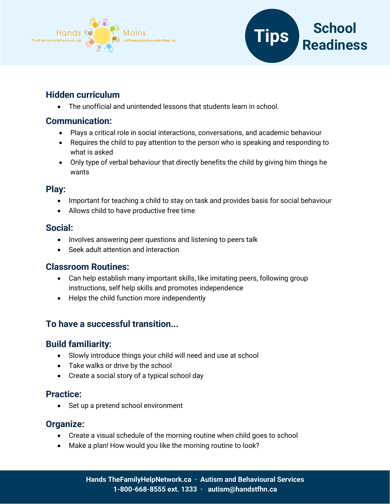



## **Hidden curriculum**

• The unofficial and unintended lessons that students learn in school.

# **Communication:**

- Plays a critical role in social interactions, conversations, and academic behaviour
- Requires the child to pay attention to the person who is speaking and responding to what is asked
- Only type of verbal behaviour that directly benefits the child by giving him things he wants

## **Play:**

- Important for teaching a child to stay on task and provides basis for social behaviour
- Allows child to have productive free time

#### **Social:**

- Involves answering peer questions and listening to peers talk
- Seek adult attention and interaction

## **Classroom Routines:**

- Can help establish many important skills, like imitating peers, following group instructions, self help skills and promotes independence
- Helps the child function more independently

# **To have a successful transition...**

## **Build familiarity:**

- Slowly introduce things your child will need and use at school
- Take walks or drive by the school
- Create a social story of a typical school day

## **Practice:**

• Set up a pretend school environment

## **Organize:**

- Create a visual schedule of the morning routine when child goes to school
- Make a plan! How would you like the morning routine to look?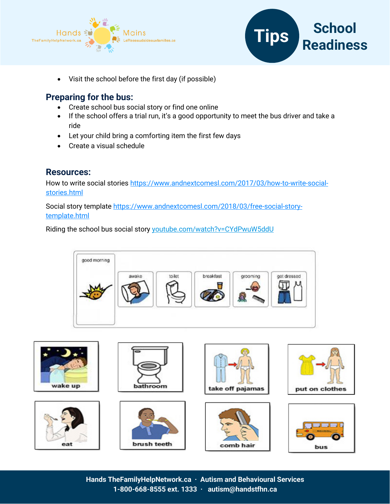



• Visit the school before the first day (if possible)

#### **Preparing for the bus:**

- Create school bus social story or find one online
- If the school offers a trial run, it's a good opportunity to meet the bus driver and take a ride
- Let your child bring a comforting item the first few days
- Create a visual schedule

#### **Resources:**

How to write social stories [https://www.andnextcomesl.com/2017/03/how-to-write-social](https://www.andnextcomesl.com/2017/03/how-to-write-social-stories.html)[stories.html](https://www.andnextcomesl.com/2017/03/how-to-write-social-stories.html)

Social story template [https://www.andnextcomesl.com/2018/03/free-social-story](https://www.andnextcomesl.com/2018/03/free-social-story-template.html)[template.html](https://www.andnextcomesl.com/2018/03/free-social-story-template.html)

Riding the school bus social story youtube.com/watch?v=CYdPwuW5ddU